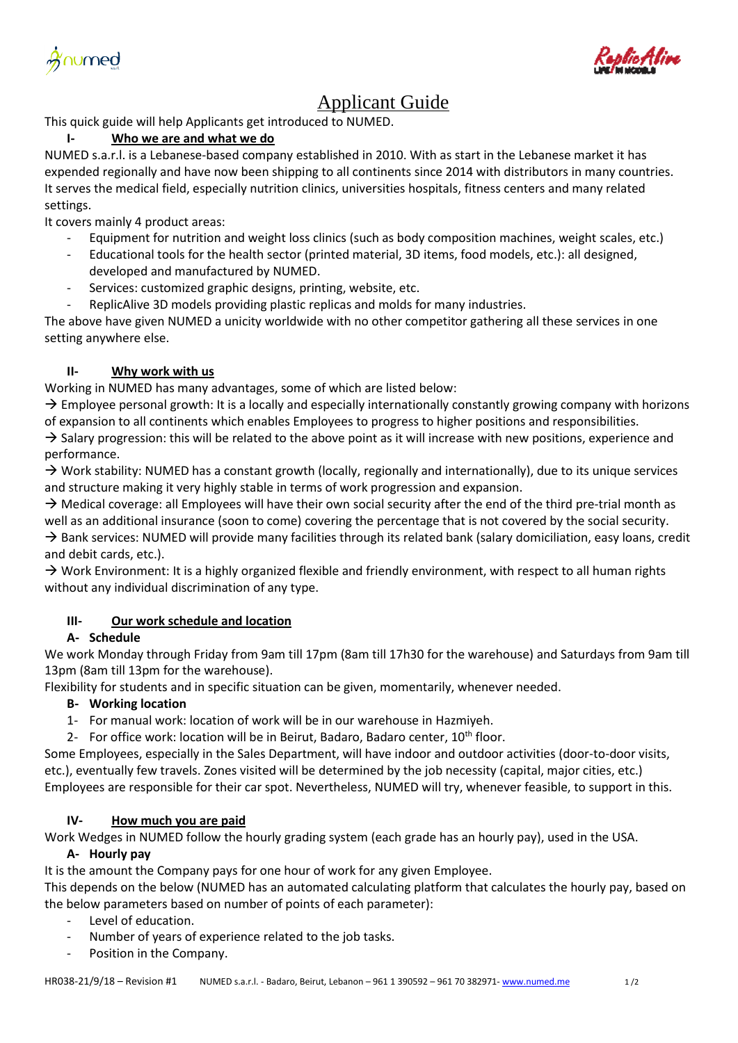<u>Xnumed</u>



# Applicant Guide

This quick guide will help Applicants get introduced to NUMED.

# **I- Who we are and what we do**

NUMED s.a.r.l. is a Lebanese-based company established in 2010. With as start in the Lebanese market it has expended regionally and have now been shipping to all continents since 2014 with distributors in many countries. It serves the medical field, especially nutrition clinics, universities hospitals, fitness centers and many related settings.

It covers mainly 4 product areas:

- Equipment for nutrition and weight loss clinics (such as body composition machines, weight scales, etc.)
- Educational tools for the health sector (printed material, 3D items, food models, etc.): all designed, developed and manufactured by NUMED.
- Services: customized graphic designs, printing, website, etc.
- ReplicAlive 3D models providing plastic replicas and molds for many industries.

The above have given NUMED a unicity worldwide with no other competitor gathering all these services in one setting anywhere else.

# **II- Why work with us**

Working in NUMED has many advantages, some of which are listed below:

 $\rightarrow$  Employee personal growth: It is a locally and especially internationally constantly growing company with horizons of expansion to all continents which enables Employees to progress to higher positions and responsibilities.

 $\rightarrow$  Salary progression: this will be related to the above point as it will increase with new positions, experience and performance.

 $\rightarrow$  Work stability: NUMED has a constant growth (locally, regionally and internationally), due to its unique services and structure making it very highly stable in terms of work progression and expansion.

 $\rightarrow$  Medical coverage: all Employees will have their own social security after the end of the third pre-trial month as well as an additional insurance (soon to come) covering the percentage that is not covered by the social security.  $\rightarrow$  Bank services: NUMED will provide many facilities through its related bank (salary domiciliation, easy loans, credit and debit cards, etc.).

 $\rightarrow$  Work Environment: It is a highly organized flexible and friendly environment, with respect to all human rights without any individual discrimination of any type.

# **III- Our work schedule and location**

# **A- Schedule**

We work Monday through Friday from 9am till 17pm (8am till 17h30 for the warehouse) and Saturdays from 9am till 13pm (8am till 13pm for the warehouse).

Flexibility for students and in specific situation can be given, momentarily, whenever needed.

# **B- Working location**

- 1- For manual work: location of work will be in our warehouse in Hazmiyeh.
- 2- For office work: location will be in Beirut, Badaro, Badaro center, 10<sup>th</sup> floor.

Some Employees, especially in the Sales Department, will have indoor and outdoor activities (door-to-door visits, etc.), eventually few travels. Zones visited will be determined by the job necessity (capital, major cities, etc.) Employees are responsible for their car spot. Nevertheless, NUMED will try, whenever feasible, to support in this.

# **IV- How much you are paid**

Work Wedges in NUMED follow the hourly grading system (each grade has an hourly pay), used in the USA.

# **A- Hourly pay**

It is the amount the Company pays for one hour of work for any given Employee.

This depends on the below (NUMED has an automated calculating platform that calculates the hourly pay, based on the below parameters based on number of points of each parameter):

- Level of education.
- Number of years of experience related to the job tasks.
- Position in the Company.